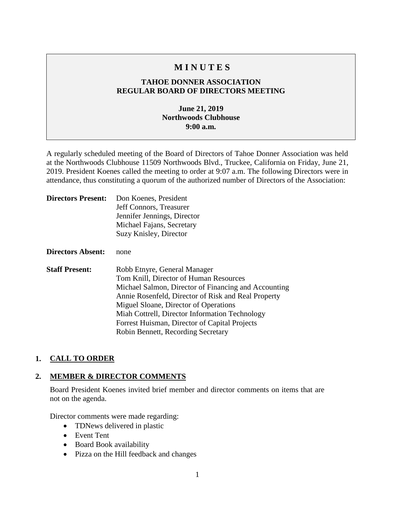# **M I N U T E S**

## **TAHOE DONNER ASSOCIATION REGULAR BOARD OF DIRECTORS MEETING**

## **June 21, 2019 Northwoods Clubhouse 9:00 a.m.**

A regularly scheduled meeting of the Board of Directors of Tahoe Donner Association was held at the Northwoods Clubhouse 11509 Northwoods Blvd., Truckee, California on Friday, June 21, 2019. President Koenes called the meeting to order at 9:07 a.m. The following Directors were in attendance, thus constituting a quorum of the authorized number of Directors of the Association:

| <b>Directors Present:</b> | Don Koenes, President<br>Jeff Connors, Treasurer<br>Jennifer Jennings, Director<br>Michael Fajans, Secretary<br>Suzy Knisley, Director                                                                                                                                                                                                                                  |
|---------------------------|-------------------------------------------------------------------------------------------------------------------------------------------------------------------------------------------------------------------------------------------------------------------------------------------------------------------------------------------------------------------------|
| Directors Absent:         | none                                                                                                                                                                                                                                                                                                                                                                    |
| <b>Staff Present:</b>     | Robb Etnyre, General Manager<br>Tom Knill, Director of Human Resources<br>Michael Salmon, Director of Financing and Accounting<br>Annie Rosenfeld, Director of Risk and Real Property<br>Miguel Sloane, Director of Operations<br>Miah Cottrell, Director Information Technology<br>Forrest Huisman, Director of Capital Projects<br>Robin Bennett, Recording Secretary |

## **1. CALL TO ORDER**

#### **2. MEMBER & DIRECTOR COMMENTS**

Board President Koenes invited brief member and director comments on items that are not on the agenda.

Director comments were made regarding:

- TDNews delivered in plastic
- Event Tent
- Board Book availability
- Pizza on the Hill feedback and changes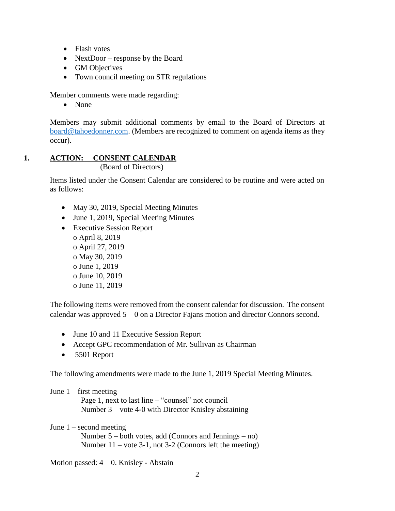- Flash votes
- NextDoor response by the Board
- GM Objectives
- Town council meeting on STR regulations

Member comments were made regarding:

• None

Members may submit additional comments by email to the Board of Directors at [board@tahoedonner.com.](mailto:board@tahoedonner.com) (Members are recognized to comment on agenda items as they occur).

#### **1. ACTION: CONSENT CALENDAR** (Board of Directors)

Items listed under the Consent Calendar are considered to be routine and were acted on as follows:

- May 30, 2019, Special Meeting Minutes
- June 1, 2019, Special Meeting Minutes
- Executive Session Report o April 8, 2019 o April 27, 2019 o May 30, 2019 o June 1, 2019 o June 10, 2019 o June 11, 2019

The following items were removed from the consent calendar for discussion. The consent calendar was approved 5 – 0 on a Director Fajans motion and director Connors second.

- June 10 and 11 Executive Session Report
- Accept GPC recommendation of Mr. Sullivan as Chairman
- 5501 Report

The following amendments were made to the June 1, 2019 Special Meeting Minutes.

#### June  $1$  – first meeting

 Page 1, next to last line – "counsel" not council Number 3 – vote 4-0 with Director Knisley abstaining

## June 1 – second meeting

 Number 5 – both votes, add (Connors and Jennings – no) Number 11 – vote 3-1, not 3-2 (Connors left the meeting)

Motion passed: 4 – 0. Knisley - Abstain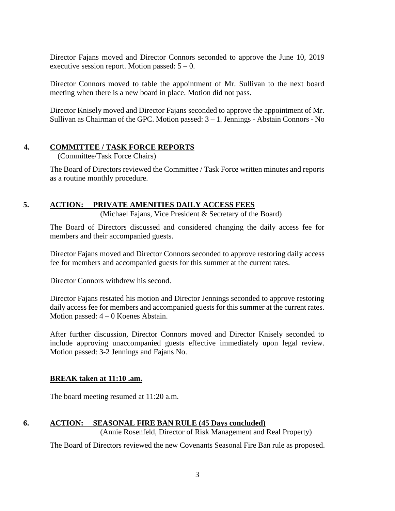Director Fajans moved and Director Connors seconded to approve the June 10, 2019 executive session report. Motion passed:  $5 - 0$ .

Director Connors moved to table the appointment of Mr. Sullivan to the next board meeting when there is a new board in place. Motion did not pass.

Director Knisely moved and Director Fajans seconded to approve the appointment of Mr. Sullivan as Chairman of the GPC. Motion passed:  $3 - 1$ . Jennings - Abstain Connors - No

## **4. COMMITTEE / TASK FORCE REPORTS**

(Committee/Task Force Chairs)

The Board of Directors reviewed the Committee / Task Force written minutes and reports as a routine monthly procedure.

## **5. ACTION: PRIVATE AMENITIES DAILY ACCESS FEES**

(Michael Fajans, Vice President & Secretary of the Board)

The Board of Directors discussed and considered changing the daily access fee for members and their accompanied guests.

Director Fajans moved and Director Connors seconded to approve restoring daily access fee for members and accompanied guests for this summer at the current rates.

Director Connors withdrew his second.

Director Fajans restated his motion and Director Jennings seconded to approve restoring daily access fee for members and accompanied guests for this summer at the current rates. Motion passed:  $4 - 0$  Koenes Abstain.

After further discussion, Director Connors moved and Director Knisely seconded to include approving unaccompanied guests effective immediately upon legal review. Motion passed: 3-2 Jennings and Fajans No.

## **BREAK taken at 11:10 .am.**

The board meeting resumed at 11:20 a.m.

## **6. ACTION: SEASONAL FIRE BAN RULE (45 Days concluded)**

(Annie Rosenfeld, Director of Risk Management and Real Property)

The Board of Directors reviewed the new Covenants Seasonal Fire Ban rule as proposed.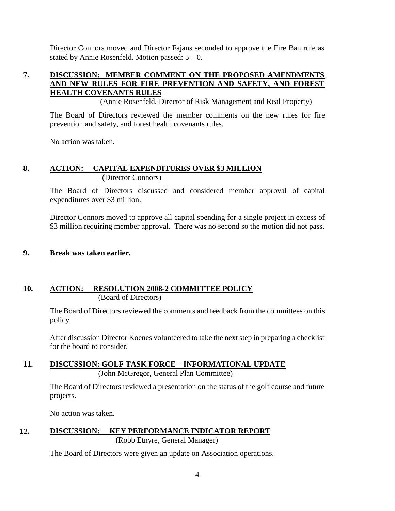Director Connors moved and Director Fajans seconded to approve the Fire Ban rule as stated by Annie Rosenfeld. Motion passed:  $5 - 0$ .

## **7. DISCUSSION: MEMBER COMMENT ON THE PROPOSED AMENDMENTS AND NEW RULES FOR FIRE PREVENTION AND SAFETY, AND FOREST HEALTH COVENANTS RULES**

(Annie Rosenfeld, Director of Risk Management and Real Property)

The Board of Directors reviewed the member comments on the new rules for fire prevention and safety, and forest health covenants rules.

No action was taken.

## **8. ACTION: CAPITAL EXPENDITURES OVER \$3 MILLION** (Director Connors)

The Board of Directors discussed and considered member approval of capital expenditures over \$3 million.

Director Connors moved to approve all capital spending for a single project in excess of \$3 million requiring member approval. There was no second so the motion did not pass.

## **9. Break was taken earlier.**

## **10. ACTION: RESOLUTION 2008-2 COMMITTEE POLICY** (Board of Directors)

The Board of Directors reviewed the comments and feedback from the committees on this policy.

After discussion Director Koenes volunteered to take the next step in preparing a checklist for the board to consider.

#### **11. DISCUSSION: GOLF TASK FORCE – INFORMATIONAL UPDATE** (John McGregor, General Plan Committee)

The Board of Directors reviewed a presentation on the status of the golf course and future projects.

No action was taken.

# **12. DISCUSSION: KEY PERFORMANCE INDICATOR REPORT**

(Robb Etnyre, General Manager)

The Board of Directors were given an update on Association operations.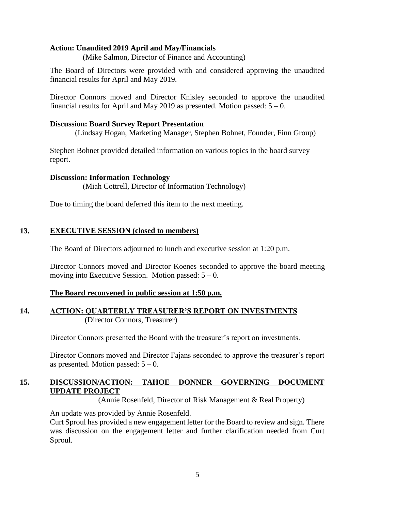#### **Action: Unaudited 2019 April and May/Financials**

(Mike Salmon, Director of Finance and Accounting)

The Board of Directors were provided with and considered approving the unaudited financial results for April and May 2019.

Director Connors moved and Director Knisley seconded to approve the unaudited financial results for April and May 2019 as presented. Motion passed:  $5 - 0$ .

#### **Discussion: Board Survey Report Presentation**

(Lindsay Hogan, Marketing Manager, Stephen Bohnet, Founder, Finn Group)

Stephen Bohnet provided detailed information on various topics in the board survey report.

#### **Discussion: Information Technology**

(Miah Cottrell, Director of Information Technology)

Due to timing the board deferred this item to the next meeting.

## **13. EXECUTIVE SESSION (closed to members)**

The Board of Directors adjourned to lunch and executive session at 1:20 p.m.

Director Connors moved and Director Koenes seconded to approve the board meeting moving into Executive Session. Motion passed:  $5 - 0$ .

#### **The Board reconvened in public session at 1:50 p.m.**

#### **14. ACTION: QUARTERLY TREASURER'S REPORT ON INVESTMENTS** (Director Connors, Treasurer)

Director Connors presented the Board with the treasurer's report on investments.

Director Connors moved and Director Fajans seconded to approve the treasurer's report as presented. Motion passed:  $5 - 0$ .

## **15. DISCUSSION/ACTION: TAHOE DONNER GOVERNING DOCUMENT UPDATE PROJECT**

(Annie Rosenfeld, Director of Risk Management & Real Property)

An update was provided by Annie Rosenfeld.

Curt Sproul has provided a new engagement letter for the Board to review and sign. There was discussion on the engagement letter and further clarification needed from Curt Sproul.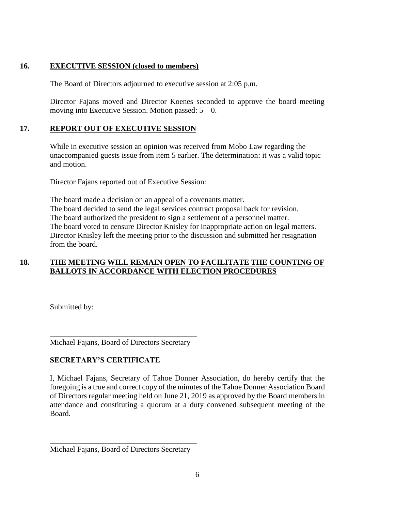## **16. EXECUTIVE SESSION (closed to members)**

The Board of Directors adjourned to executive session at 2:05 p.m.

Director Fajans moved and Director Koenes seconded to approve the board meeting moving into Executive Session. Motion passed:  $5 - 0$ .

## **17. REPORT OUT OF EXECUTIVE SESSION**

While in executive session an opinion was received from Mobo Law regarding the unaccompanied guests issue from item 5 earlier. The determination: it was a valid topic and motion.

Director Fajans reported out of Executive Session:

The board made a decision on an appeal of a covenants matter. The board decided to send the legal services contract proposal back for revision. The board authorized the president to sign a settlement of a personnel matter. The board voted to censure Director Knisley for inappropriate action on legal matters. Director Knisley left the meeting prior to the discussion and submitted her resignation from the board.

# **18. THE MEETING WILL REMAIN OPEN TO FACILITATE THE COUNTING OF BALLOTS IN ACCORDANCE WITH ELECTION PROCEDURES**

Submitted by:

\_\_\_\_\_\_\_\_\_\_\_\_\_\_\_\_\_\_\_\_\_\_\_\_\_\_\_\_\_\_\_\_\_\_\_\_\_\_ Michael Fajans, Board of Directors Secretary

## **SECRETARY'S CERTIFICATE**

I, Michael Fajans, Secretary of Tahoe Donner Association, do hereby certify that the foregoing is a true and correct copy of the minutes of the Tahoe Donner Association Board of Directors regular meeting held on June 21, 2019 as approved by the Board members in attendance and constituting a quorum at a duty convened subsequent meeting of the Board.

\_\_\_\_\_\_\_\_\_\_\_\_\_\_\_\_\_\_\_\_\_\_\_\_\_\_\_\_\_\_\_\_\_\_\_\_\_\_ Michael Fajans, Board of Directors Secretary